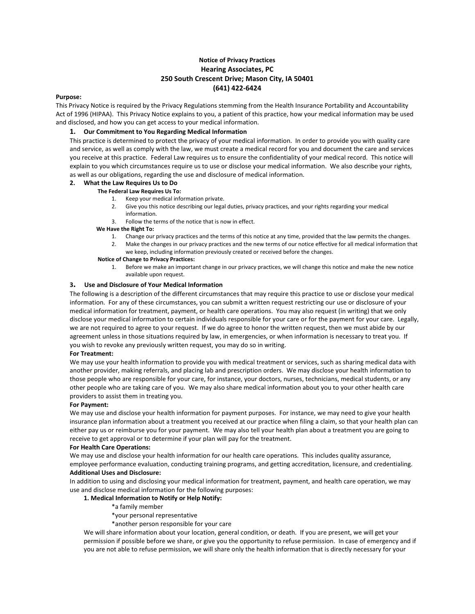# **Notice of Privacy Practices Hearing Associates, PC 250 South Crescent Drive; Mason City, IA 50401 (641) 422-6424**

### **Purpose:**

This Privacy Notice is required by the Privacy Regulations stemming from the Health Insurance Portability and Accountability Act of 1996 (HIPAA). This Privacy Notice explains to you, a patient of this practice, how your medical information may be used and disclosed, and how you can get access to your medical information.

# **1. Our Commitment to You Regarding Medical Information**

This practice is determined to protect the privacy of your medical information. In order to provide you with quality care and service, as well as comply with the law, we must create a medical record for you and document the care and services you receive at this practice. Federal Law requires us to ensure the confidentiality of your medical record. This notice will explain to you which circumstances require us to use or disclose your medical information. We also describe your rights, as well as our obligations, regarding the use and disclosure of medical information.

# **2. What the Law Requires Us to Do**

# **The Federal Law Requires Us To:**

- 1. Keep your medical information private.
- 2. Give you this notice describing our legal duties, privacy practices, and your rights regarding your medical information.
- 3. Follow the terms of the notice that is now in effect.

### **We Have the Right To:**

- 1. Change our privacy practices and the terms of this notice at any time, provided that the law permits the changes.
- 2. Make the changes in our privacy practices and the new terms of our notice effective for all medical information that we keep, including information previously created or received before the changes.

# **Notice of Change to Privacy Practices:**

1. Before we make an important change in our privacy practices, we will change this notice and make the new notice available upon request.

# **3. Use and Disclosure of Your Medical Information**

The following is a description of the different circumstances that may require this practice to use or disclose your medical information. For any of these circumstances, you can submit a written request restricting our use or disclosure of your medical information for treatment, payment, or health care operations. You may also request (in writing) that we only disclose your medical information to certain individuals responsible for your care or for the payment for your care. Legally, we are not required to agree to your request. If we do agree to honor the written request, then we must abide by our agreement unless in those situations required by law, in emergencies, or when information is necessary to treat you. If you wish to revoke any previously written request, you may do so in writing.

# **For Treatment:**

We may use your health information to provide you with medical treatment or services, such as sharing medical data with another provider, making referrals, and placing lab and prescription orders. We may disclose your health information to those people who are responsible for your care, for instance, your doctors, nurses, technicians, medical students, or any other people who are taking care of you. We may also share medical information about you to your other health care providers to assist them in treating you.

#### **For Payment:**

We may use and disclose your health information for payment purposes. For instance, we may need to give your health insurance plan information about a treatment you received at our practice when filing a claim, so that your health plan can either pay us or reimburse you for your payment. We may also tell your health plan about a treatment you are going to receive to get approval or to determine if your plan will pay for the treatment.

#### **For Health Care Operations:**

We may use and disclose your health information for our health care operations. This includes quality assurance, employee performance evaluation, conducting training programs, and getting accreditation, licensure, and credentialing. **Additional Uses and Disclosure:**

In addition to using and disclosing your medical information for treatment, payment, and health care operation, we may use and disclose medical information for the following purposes:

# **1. Medical Information to Notify or Help Notify:**

- \*a family member
- \*your personal representative
- \*another person responsible for your care

We will share information about your location, general condition, or death. If you are present, we will get your permission if possible before we share, or give you the opportunity to refuse permission. In case of emergency and if you are not able to refuse permission, we will share only the health information that is directly necessary for your